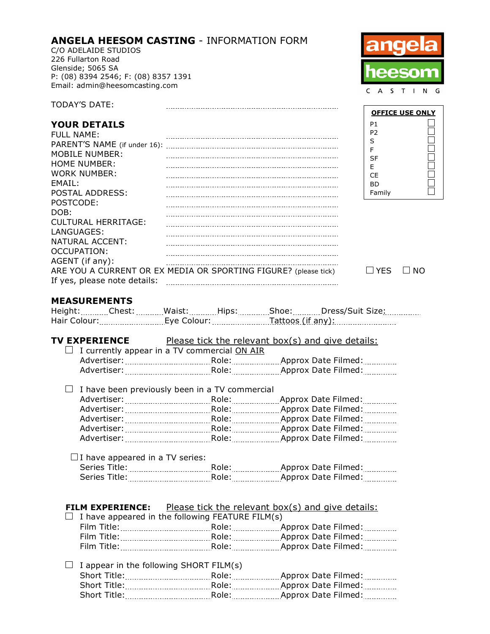### **ANGELA HEESOM CASTING** - INFORMATION FORM

C/O ADELAIDE STUDIOS 226 Fullarton Road Glenside; 5065 SA P: (08) 8394 2546; F: (08) 8357 1391 Email: admin@heesomcasting.com



**OFFICE USE ONLY**

100000000

P1

## **YOUR DETAILS**

TODAY'S DATE:

| <b>FULL NAME:</b>            |                                                                 | P <sub>2</sub> |     |
|------------------------------|-----------------------------------------------------------------|----------------|-----|
|                              |                                                                 | S              |     |
| MOBILE NUMBER:               |                                                                 |                |     |
| HOME NUMBER:                 |                                                                 | SF             |     |
|                              |                                                                 | F              |     |
| WORK NUMBER:                 |                                                                 | CE             |     |
| FMAIL:                       |                                                                 | <b>BD</b>      |     |
| POSTAL ADDRESS:              |                                                                 | Family         |     |
| POSTCODE:                    |                                                                 |                |     |
| DOB:                         |                                                                 |                |     |
| <b>CULTURAL HERRITAGE:</b>   |                                                                 |                |     |
| LANGUAGES:                   |                                                                 |                |     |
| NATURAL ACCENT:              |                                                                 |                |     |
| OCCUPATION:                  |                                                                 |                |     |
|                              |                                                                 |                |     |
| AGENT (if any):              |                                                                 |                |     |
|                              | ARE YOU A CURRENT OR EX MEDIA OR SPORTING FIGURE? (please tick) | l I YFS        | NO. |
| If yes, please note details: |                                                                 |                |     |
|                              |                                                                 |                |     |

|  |  | NΟ |
|--|--|----|
|--|--|----|

#### **MEASUREMENTS**

| ------------- | ______________ | . | .              | -------------- | . |
|---------------|----------------|---|----------------|----------------|---|
|               |                | - | -------------- |                |   |

## **TV EXPERIENCE** Please tick the relevant box(s) and give details:  $\Box$  I currently appear in a TV commercial ON AIR Advertiser: Role: Approx Date Filmed:

| ------ | ----- | .<br> |
|--------|-------|-------|
|        |       | <br>  |
|        |       |       |

| $\Box$ I have been previously been in a TV commercial |                   |                                |
|-------------------------------------------------------|-------------------|--------------------------------|
|                                                       |                   | Approx Date Filmed:            |
|                                                       | Role: <b>Role</b> | Approx Date Filmed:            |
|                                                       | Role:             | Approx Date Filmed:            |
| Advertiser:                                           | Role:             | Approx Date Filmed: Manuscript |
| Advertiser:                                           | Role:             | Approx Date Filmed:            |
|                                                       |                   |                                |

#### $\Box$  I have appeared in a TV series: Series Title: Role: Approx Date Filmed: Series Title: Role: Approx Date Filmed:

#### **FILM EXPERIENCE:** Please tick the relevant box(s) and give details:

| $\Box$ I have appeared in the following FEATURE FILM(s) |                           |
|---------------------------------------------------------|---------------------------|
| Film Title:                                             | Approx Date Filmed:       |
| Film Title:                                             | Role: Approx Date Filmed: |
| Film Title:                                             | Approx Date Filmed:       |
|                                                         |                           |

#### $\Box$  I appear in the following SHORT FILM(s) Short Title: Role: Approx Date Filmed: Short Title: \\connectlentline{\minf{\sigma\_{\sigma\_{\sigma\_{\sigma\_{\sigma\_{\sigma\_{\sigma\_{\sigma\_{\sigma\_{\sigma\_{\sigma\_{\sigma\_{\sigma\_{\sigma\_{\sigma\_{\sigma\_{\sigma\_{\sigma\_{\sigma\_{\sigma\_{\sigma\_{\sigma\_{\sigma\_{\ Short Title: Role: Approx Date Filmed: